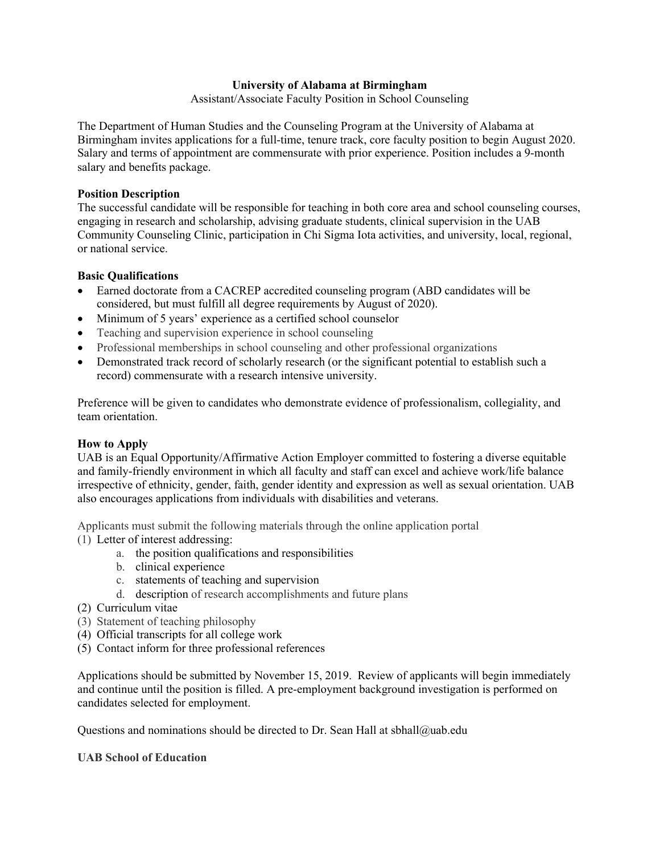# **University of Alabama at Birmingham**

Assistant/Associate Faculty Position in School Counseling

The Department of Human Studies and the Counseling Program at the University of Alabama at Birmingham invites applications for a full-time, tenure track, core faculty position to begin August 2020. Salary and terms of appointment are commensurate with prior experience. Position includes a 9-month salary and benefits package.

# **Position Description**

The successful candidate will be responsible for teaching in both core area and school counseling courses, engaging in research and scholarship, advising graduate students, clinical supervision in the UAB Community Counseling Clinic, participation in Chi Sigma Iota activities, and university, local, regional, or national service.

# **Basic Qualifications**

- Earned doctorate from a CACREP accredited counseling program (ABD candidates will be considered, but must fulfill all degree requirements by August of 2020).
- Minimum of 5 years' experience as a certified school counselor
- Teaching and supervision experience in school counseling
- Professional memberships in school counseling and other professional organizations
- Demonstrated track record of scholarly research (or the significant potential to establish such a record) commensurate with a research intensive university.

Preference will be given to candidates who demonstrate evidence of professionalism, collegiality, and team orientation.

# **How to Apply**

UAB is an Equal Opportunity/Affirmative Action Employer committed to fostering a diverse equitable and family-friendly environment in which all faculty and staff can excel and achieve work/life balance irrespective of ethnicity, gender, faith, gender identity and expression as well as sexual orientation. UAB also encourages applications from individuals with disabilities and veterans.

Applicants must submit the following materials through the online application portal

- (1) Letter of interest addressing:
	- a. the position qualifications and responsibilities
	- b. clinical experience
	- c. statements of teaching and supervision
	- d. description of research accomplishments and future plans
- (2) Curriculum vitae
- (3) Statement of teaching philosophy
- (4) Official transcripts for all college work
- (5) Contact inform for three professional references

Applications should be submitted by November 15, 2019. Review of applicants will begin immediately and continue until the position is filled. A pre-employment background investigation is performed on candidates selected for employment.

Questions and nominations should be directed to Dr. Sean Hall at sbhall@uab.edu

#### **UAB School of Education**